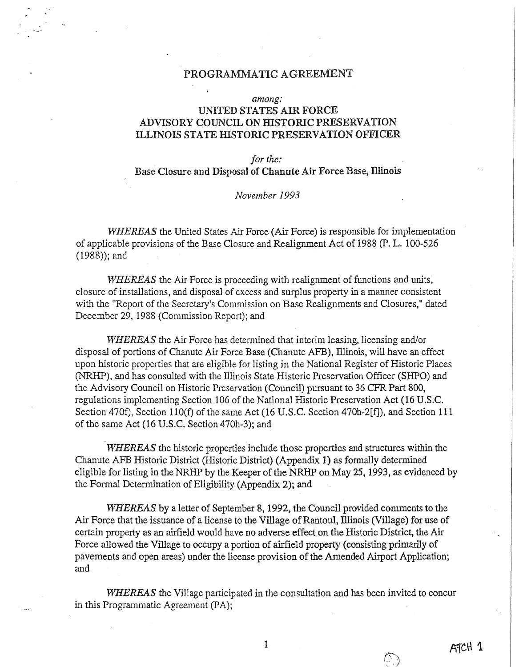### PROGRAMMATIC AGREEMENT

#### *among:*

## UNITED STATES AIR FORCE ADVISORY COUNCil, ON HISTORIC PRESERVATION ILLINOIS STATE HISTORIC PRESERVATION OFFICER

### *for the:*  Base Closure and Disposal of Chanute Air Force Base, Illinois

### *November 1993*

*WHEREAS* the United States Air Force (Air Force) is responsible for implementation of applicable provisions of the Base Closure and Realignment Act of 1988 (P. L. 100-526 (1988)); and

*WHEREAS* the Air Force is proceeding with realignment of functions and units, closure of installations, and disposal of excess and surplus property in a manner consistent with the "Report of the Secretary's Commission on Base Realignments and Closures," dated December 29, 1988 (Commission Report); and

*WHEREAS* the Air Force has determined that interim leasing, licensing and/or disposal of portions of Chanute Air Force Base (Chanute AFB), Illinois, will have an effect upon historic properties that are eligible for listing in the National Register of Historic Places (NRHP), and has consulted with the Illinois State Historic Preservation Officer (SHPO) and the Advisory Council on Historic Preservation (Council) pursuant to 36 CFR Part 800, regulations implementing Section 106 of the National Historic Preservation Act (16 U.S.C. Section 470f), Section 110(f) of the same Act (16 U.S.C. Section 470h-2[f]), and Section 111 of the same Act (16 U.S.C. Section 470h-3); and

*WHEREAS* the historic properties include those properties and structures within the Chanute AFB Historic District (Historic District) (Appendix 1) as formally determined eligible for listing in the NRHP by the Keeper of the NRHP on May 25, 1993, as evidenced by the Formal Determination of Eligibility (Appendix 2); and

*WHEREAS* by a letter of September 8, 1992, the Council provided comments to the Air Force that the issuance of a license to the Village of Rantoul, Illinois (Village) for use of certain property as an airfield would have no adverse effect on the Historic District, the Air Force allowed the Village to occupy a portion of airfield property (consisting primarily of pavements and open areas) under the license provision of the Amended Airport Application; and

*WHEREAS* the Village participated in the consultation and has been invited to concur in this Programmatic Agreement (PA);

O.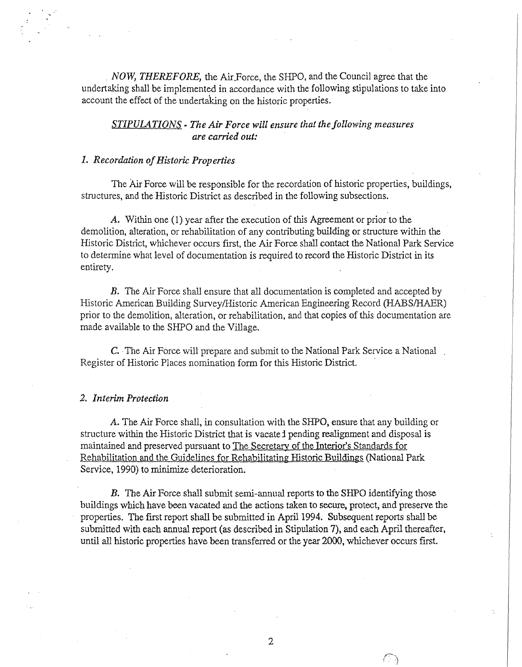. *NOW, THEREFORE,* the Air.Force, the SHPO, and the Council agree that the undertaking shall be implemented in accordance with the following stipulations to take into account the effect of the undertaking on the historic properties.

## *STIPULATIONS- The Air Force will ensure that the following measures are carried out:*

### *1. Recordation of Historic Properties*

The Air Force will be responsible for the recordation of historic properties, buildings, structures, and the Historic District as described in the following subsections.

A. Within one (1) year after the execution of this Agreement or prior to the demolition, alteration, or rehabilitation of any contributing building or structure within the Historic District, whichever occurs first, the Air Force shall contact the National Park Service to determine what level of documentation is required to record the Historic District in its entirety.

B. The Air Force shall ensure that all documentation is completed and accepted by Historic American Building Survey/Historic American Engineering Record (HABS/HAER) prior to the demolition, alteration, or rehabilitation, and that copies of this documentation are made available to the SHPO and the Village.

C. The Air Force will prepare and submit to the National Park Service a National Register of Historic Places nomination form for this Historic District

#### *2. Interim Protection*

A. The Air Force shall, in consultation with the SHPO, ensure that any building or structure within the Historic District that is vacate I pending realignment and disposal is maintained and preserved pursuant to The Secretary of the Interior's Standards for Rehabilitation and the Guidelines for Rehabilitating Historic Buildings (National Park Service, 1990) to minimize deterioration.

B. The Air Force shall submit semi-annual reports to the SHPO identifying those buildings which have been vacated and the actions taken to secure, protect, and preserve the properties. The first report shall be submitted in April 1994. Subsequent reports shall be submitted with each annual report (as described in Stipulation 7), and each April thereafter, until all historic properties have been transferred or the year 2000, whichever occurs first.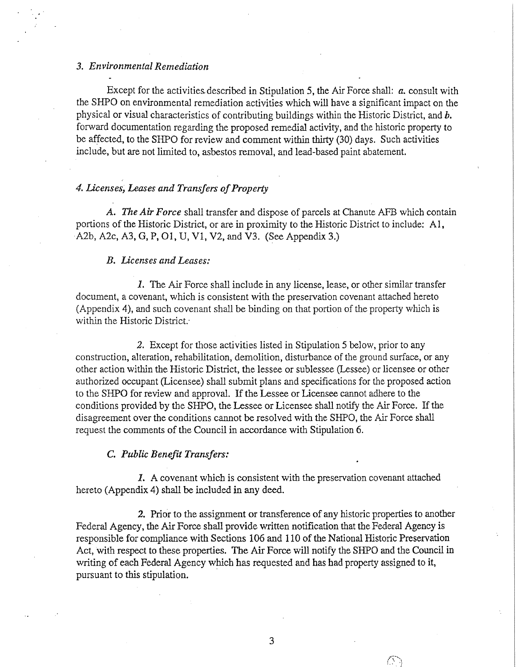### *3. Environmental Remediation*

Except for the activities.described in Stipulation 5, the Air Force shall: *a.* consult with the SHPO on environmental remediation activities which will have a significant impact on the physical or visual characteristics of contributing buildings within the Historic District, and *b.*  forward documentation regarding the proposed remedial activity, and the historic property to be affected, to the SHPO for review and comment within thirty (30) days. Such activities include, but are not limited to, asbestos removal, and lead-based paint abatement.

### *4. licenses, Leases and Transfers of Property*

*A. The Air Force* shall transfer and dispose of parcels at Chanute AFB which contain portions of the Historic District, or are in proximity to the Historic District to include: Al, A2b, A2c, A3, G, P, 01, U, Vl, V2, and V3. (See Appendix 3.)

#### *B. Licenses and Leases:*

*1.* The Air Force shall include in any license, lease, or other similar transfer document, a covenant, which is consistent with the preservation covenant attached hereto (Appendix 4), and such covenant shall be binding on that portion of the property which is within the Historic District.·

*2.* Except for those activities listed in Stipulation 5 below, prior to any construction, alteration, rehabilitation, demolition, disturbance of the ground surface, or any other action within the Historic District, the lessee or sublessee (Lessee) or licensee or other authorized occupant (Licensee) shall submit plans and specifications for the proposed action to the SHPO for review and approval. If the Lessee or Licensee cannot adhere to the conditions provided by the SHPO, the Lessee or Licensee shall notify the Air Force. If the disagreement over the conditions cannot be resolved with the SHPO, the Air Force shall request the comments of the Council in accordance with Stipulation 6.

#### C. *Public Benefit Transfers:*

1. A covenant which is consistent with the preservation covenant attached hereto (Appendix 4) shall be included in any deed.

*2.* Prior to the assignment or transference of any historic properties to another Federal Agency, the Air Force shall provide written notification that the Federal Agency is responsible for compliance with Sections 106 and 110 of the National Historic Preservation Act, with respect to these properties. The Air Force will notify the SHPO and the Council in writing of each Federal Agency which bas requested and has had property assigned to it, pursuant to *this* stipulation.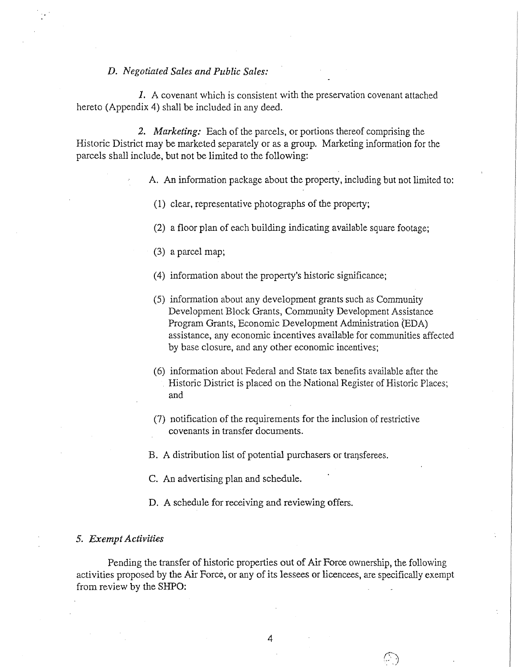### *D. Negotiated Sales and Public Sales:*

*1.* A covenant which is consistent with the preservation covenant attached hereto (Appendix 4) shall be included in any deed.

*2. Marketing:* Each of the parcels, or portions thereof comprising the Historic District may be marketed separately or as a group. Marketing information for the parcels shall include, but not be limited to the following:

A. An information package about the property, including but not limited to:

- (1) clear, representative photographs of the property;
- (2) a floor plan of each building indicating available square footage;
- (3) a parcel map;
- ( 4) information about the property's historic significance;
- (5) information about any development grants such as Community Development Block Grants, Community Development Assistance Program Grants, Economic Development Administration (EDA) assistance, any economic incentives available for communities affected by base closure, and any other economic incentives;
- (6) information about Federal and State tax benefits available after the . Historic District is placed on the National Register of Historic Places; and
- $(7)$  notification of the requirements for the inclusion of restrictive covenants in transfer documents.

B. A distribution list of potential purchasers or transferees.

C. An advertising plan and schedule.

D. A schedule for receiving and reviewing offers.

#### 5. *Exempt Activities*

Pending the transfer of historic properties out of Air Force ownership, the following activities proposed by the Air Force, or any of its lessees or licencees, are specifically exempt from review by the SHPO: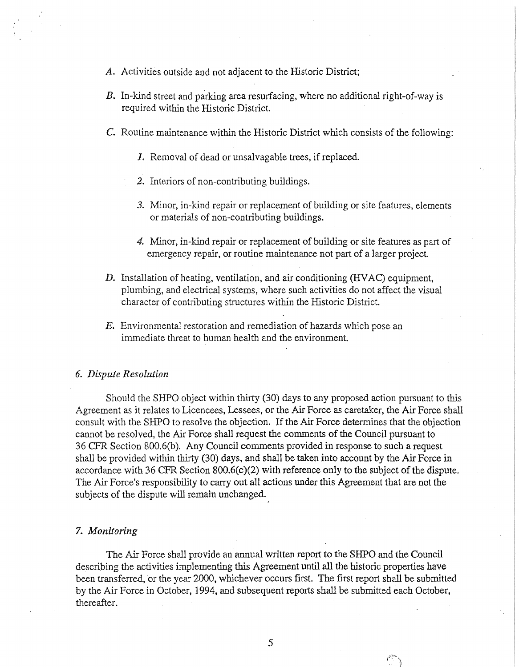- A. Activities outside and not adjacent to the Historic District;
- B. In-kind street and parking area resurfacing, where no additional right-of-way is required within the Historic District.
- C. Routine maintenance withln the Historic District which consists of the following:
	- *J.* Removal of dead or unsalvagable trees, if replaced.
	- *2.* Interiors of non-contributing buildings.
	- *3.* Minor, in-kind repair or replacement of building or site features, elements or materials of non-contributing buildings.
	- 4. Minor, in-kind repair or replacement of building or site features as part of emergency repair, or routine maintenance not part of a larger project.
- D. Installation of heating, ventilation, and air conditioning (HVAC) equipment, plumbing, and electrical systems, where such activities do not affect the visual character of contributing structures within the Historic District.
- E. Environmental restoration and remediation of hazards which pose an immediate threat to human health and the environment

#### *6. Dispute Resolution*

Should the SHPO object within thirty (30) days to any proposed action pursuant to this Agreement as it relates to Licencees, Lessees, or the Air Force as caretaker, the Air Force shall consult with the SHPO to resolve the objection. If the Air Force determines that the objection cannot be resolved, the Air Force shall request the comments of the Council pursuant to 36 CFR Section 800.6(b). Any Council comments provided in response to such a request shall be provided within thirty (30) days, and shall be taken into account by the Air Force in accordance with 36 CFR Section 800.6(c)(2) with reference only to the subject of the dispute. The Air Force's responsibility to carry out all actions under this Agreement that are not the subjects of the dispute will remain unchanged.

#### 7. *Monitoring*

The Air Force shall provide an annual written report to the SHPO and the Council describing the activities implementing this Agreement until all the historic properties have been transferred, or the year 2000, whichever occurs first. The first report shall be submitted by the Air Force in October, 1994, and subsequent reports shall be submitted each October, thereafter.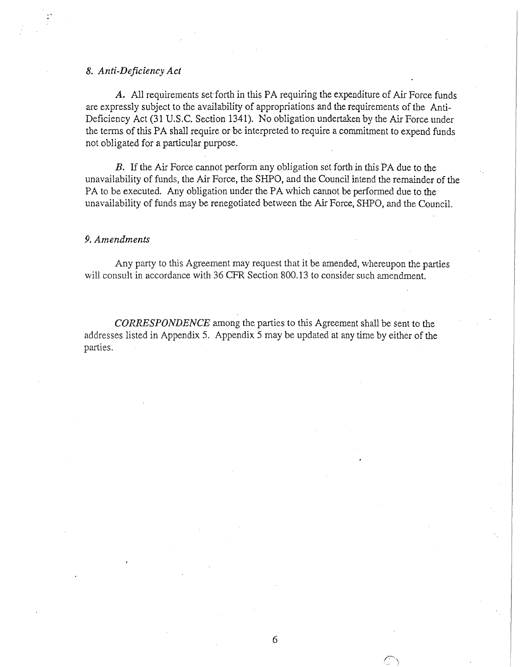### *8. Anti-Deficiency Act*

A. All requirements set forth in this PA requiring the expenditure of Air Force funds are expressly subject to the availability of appropriations and the requirements of the Anti-Deficiency Act (31 U.S.C. Section 1341). No obligation undertaken by the Air Force under the terms of this PA shall require or be interpreted to require a commitment to expend funds not obligated for a particular purpose.

B. If the Air Force cannot perform any obligation set forth in this PA due to the unavailability of funds, the Air Force, the SHPO, and the Council intend the remainder of the PA to be executed. Any obligation under the PA which cannot be performed due to the unavailability of funds may be renegotiated between the Air Force, SHPO, and the Council.

#### 9. *Amendments*

Any party to this Agreement may request that it be amended, whereupon the parties will consult in accordance with 36 CFR Section 800.13 to consider such amendment.

*CORRESPONDENCE* among the parties to this Agreement shall be sent to the addresses listed in Appendix 5. Appendix 5 may be updated at any time by either of the parties.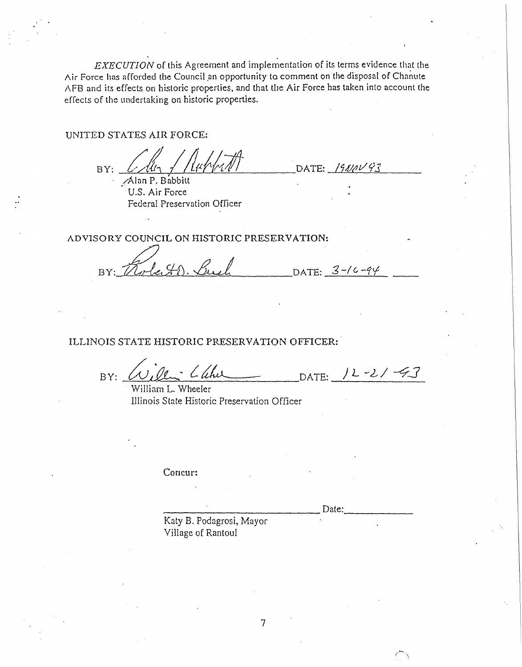EXECUTION of this Agreement and implementation of its terms evidence that the Air Force has afforded the Council an opportunity to comment on the disposal of Chanute AFB and its effects on historic properties, and that the Air Force has taken into account the effects of the undertaking on historic properties.

UNITED STATES AIR FORCE:

 $BY:$ Alan P. Babbitt

U.S. Air Force Federal Preservation Officer

DATE:  $1900093$ 

ADVISORY COUNCIL ON HISTORIC PRESERVATION:

whee HD. Buch DATE:  $3 - 16 - 94$ BY:

ILLINOIS STATE HISTORIC PRESERVATION OFFICER:

Willi Lahu DATE: 12-21-43  $BY:$ 

William L. Wheeler Illinois State Historic Preservation Officer

Concur:

Date:

Katy B. Podagrosi, Mayor Village of Rantoul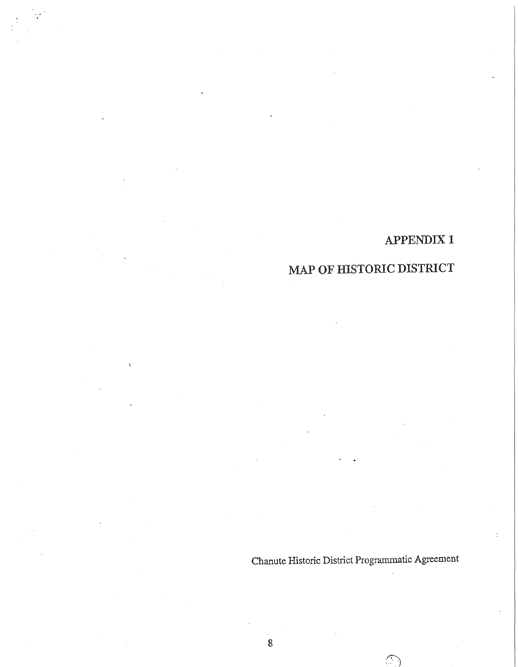# MAP OF HISTORIC DISTRICT

Chanute Historic District Programmatic Agreement

 $\bigcirc$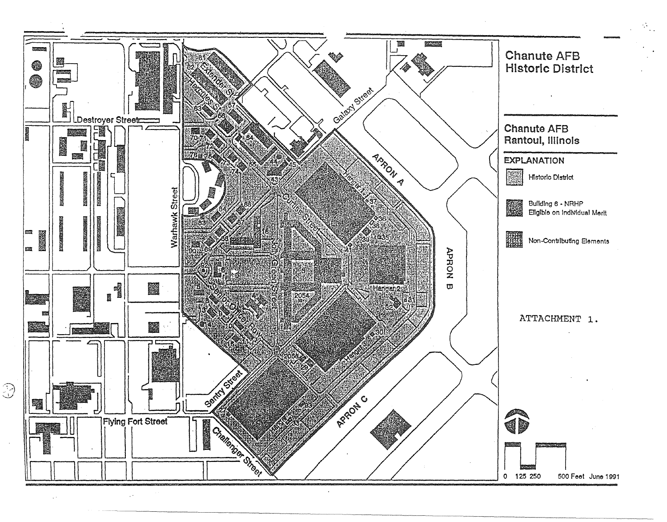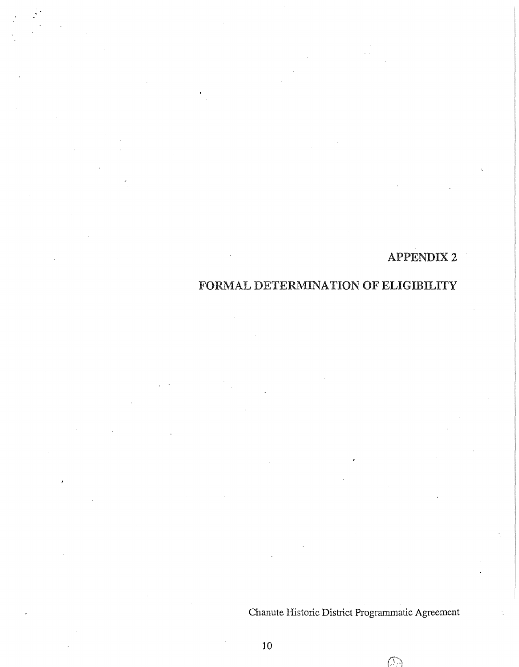## FORMAL DETERMINATION OF ELIGIBILITY

Chanute Historic District Programmatic Agreement

Œ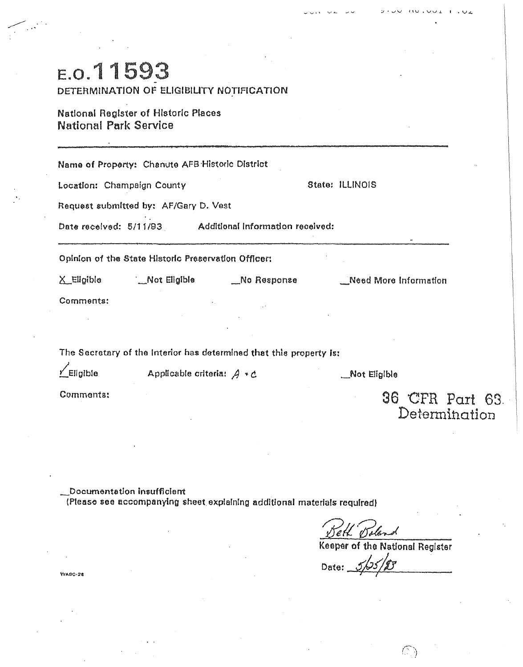| E.O.11593                    | DETERMINATION OF ELIGIBILITY NOTIFICATION           |                                                                     |                 |                                  |  |
|------------------------------|-----------------------------------------------------|---------------------------------------------------------------------|-----------------|----------------------------------|--|
| <b>National Park Service</b> | <b>National Register of Historic Places</b>         |                                                                     |                 |                                  |  |
|                              | Name of Property: Chanute AFB Historic District     |                                                                     |                 |                                  |  |
| Location: Champaign County   |                                                     |                                                                     | State: ILLINOIS |                                  |  |
|                              | Request submitted by: AF/Gary D. Vest               |                                                                     |                 |                                  |  |
|                              |                                                     | Date received: 5/11/93 Additional Information received:             |                 |                                  |  |
|                              | Opinion of the State Historic Preservation Officer: |                                                                     |                 |                                  |  |
| ∑_Eligible                   |                                                     | Mot Eligible Same No Response                                       |                 | Need More Information            |  |
| Comments:                    |                                                     |                                                                     |                 |                                  |  |
|                              |                                                     |                                                                     |                 |                                  |  |
|                              |                                                     | The Secretary of the Interior has determined that this property is: |                 |                                  |  |
| $\angle$ Eligible            | Applicable criteria: $A * C$                        |                                                                     |                 | _Not Eligible                    |  |
| Comments:                    |                                                     |                                                                     |                 | 36 CFR Part 63.<br>Determination |  |

\_Documentation insufficient<br>(Please see accompanying sheet explaining additional materials required)

**WAB0.28** 

sland eH o

Keeper of the National Register

 $\vee$ 

183 Date:  $\mathcal{L}$ 

 $\bigcirc$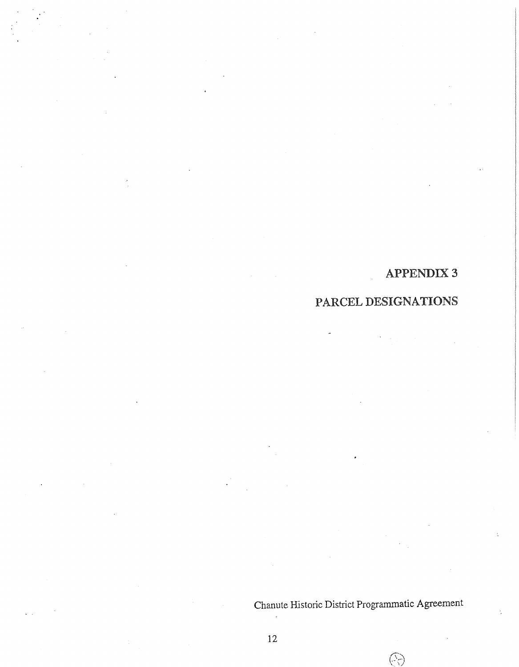## PARCEL DESIGNATIONS

Chanute Historic District Programmatic Agreement

 $\bigcirc$ 

 $\ddot{\phantom{a}}$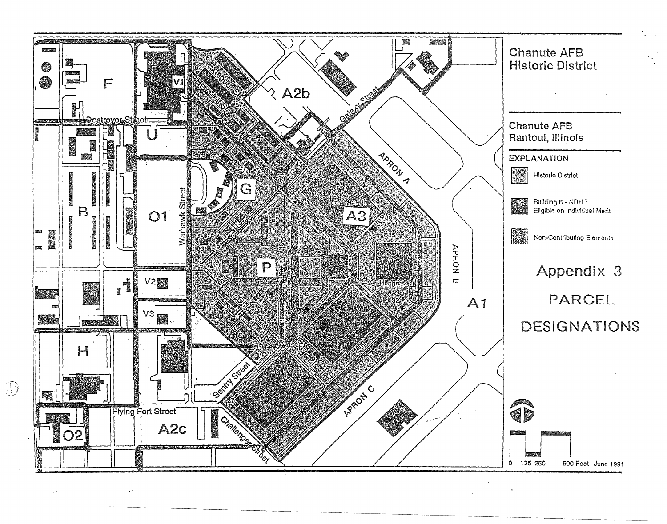

 $\overline{\mathcal{Y}}$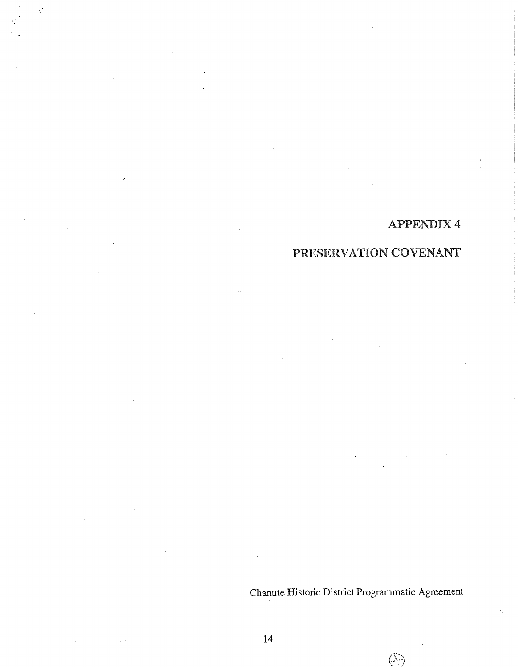# PRESERVATION COVENANT

Chanute Historic District Programmatic Agreement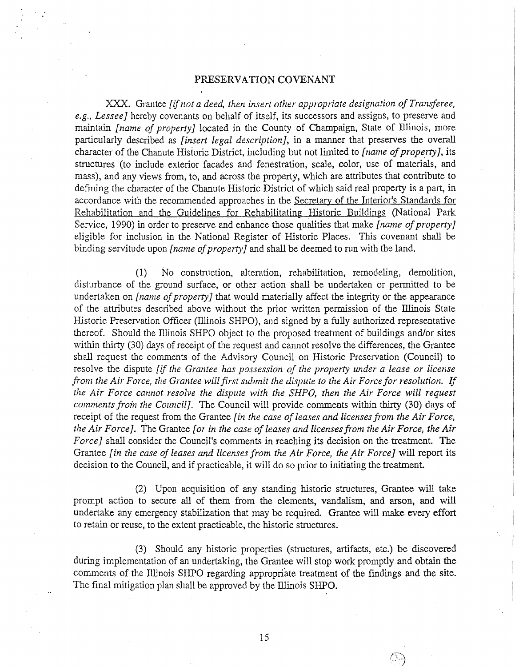#### PRESERVATION COVENANT

XXX. Grantee *[if not a deed, then insert other appropriate designation of Transferee, e.g., Lessee]* hereby covenants on behalf of itself, its successors and assigns, to preserve and maintain *[name of property]* located in the County of Champaign, State of Illinois, more particularly described as *[insert legal description],* in a manner that preserves the overall character of the Chanute Historic District, including but not limited to [name of property], its structures (to include exterior facades and fenestration, scale, color, use of materials, and mass), and any views from, to, and across the property, which are attributes that contribute to defining the character of the Chanute Historic District of which said real property is a part, in accordance with the recommended approaches in the Secretary of the Interior's Standards for Rehabilitation and the Guidelines for Rehabilitating Historic Buildings (National Park Service, 1990) in order to preserve and enhance those qualities that make *[name of property]*  eligible for inclusion in the National Register of Historic Places. This covenant shall be binding servitude upon *[name of property]* and shall be deemed to run with the land.

(1) No construction, alteration, rehabilitation, remodeling, demolition, disturbance of the ground surface, or other action shall be undertaken or permitted to be undertaken on *[name of property]* that would materially affect the integrity or the appearance of the attributes described above without the prior written permission of the Illinois State Historic Preservation Officer (Illinois SHPO), and signed by a fully authorized representative thereof. Should the Illinois SHPO object to the proposed treatment of buildings and/or sites within thirty (30) days of receipt of the request and cannot resolve the differences, the Grantee shall request the comments of the Advisory Council on Historic Preservation (Council) to resolve the dispute *[if the Grantee has possession of the property wuler a lease or license from the Air Force, the Grantee will first submit the dispute to the Air Force for resolution.* If *the Air Force cannot resolve the dispute with the SHPO, then the Air Force will request comments froin the Council].* The Council will provide comments within thirty (30) days of receipt of the request from the Grantee *[in the case of leases* and *licenses from the Air Force, the Air Force].* The Grantee *[or in the case of leases and licenses from the Air Force, the Air Force]* shall consider the Council's comments in reaching its decision on the treatment. The Grantee *[in the case of leases and licenses from the Air Force, the Air Force]* will report its decision to the Council, and if practicable, it will do so prior to initiating the treatment.

(2) Upon acquisition of any standing historic structures, Grantee will take prompt action to secure all of them from the elements, vandalism, and arson, and will undertake any emergency stabilization that may be required. Grantee will make every effort to retain or reuse, to the extent practicable, the historic structures.

(3) Should any historic properties (structures, artifacts, etc.) be discovered during implementation of an undertaking, the Grantee will stop work promptly and obtain the comments of the Illinois SHPO regarding appropriate treatment of the findings and the site. The final mitigation plan shall be approved by the Illinois SHPO.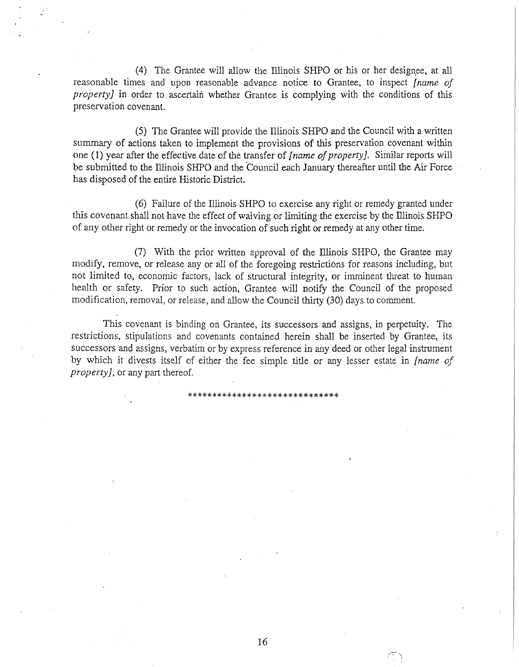(4) The Grantee will allow the Illinois SHPO or his or her designee, at all reasonable times and upon reasonable advance notice to Grantee, to inspect *[name of property]* in order to ascertain whether Grantee is complying with the conditions of this preservation covenant.

(5) The Grantee will provide the Illinois SHPO and the Council with a written summary of actions taken to implement the provisions of this preservation covenant within one ( 1) year after the effective date of the transfer of *[* name *of property].* Similar reports will be submitted to the Illinois SHPO and the Council each January thereafter until the Air Force has disposed of the entire Historic District.

(6) Failure of the Illinois SHPO to exercise any right or remedy granted under this covenant shall not have the effect of waiving or limiting the exercise by the Illinois SHPO of any other right or remedy or the invocation of such right or remedy at any other time.

(7) With the prior written approval of the Illinois SHPO, the Grantee may modify, remove, or release any or all of the foregoing restrictions for reasons including, but not limited to, economic factors, lack of structural integrity, or imminent threat to human health or safety. Prior to such action, Grantee will notify the Council of the proposed modification, removal, or release, and allow the Council thirty (30) days to comment.

This covenant is binding on Grantee, its successors and assigns, in perpetuity. The restrictions, stipulations and covenants contained herein shall be inserted by Grantee, its successors and assigns, verbatim or by express reference in any deed or other legal instrument by which it divests itself of either the fee simple title or any lesser estate in *[name of property],* or any part thereof.

\*\*\*\*\*\*\*\*\*\*\*\*\*\*\*\*\*\*\*\*\*\*\*\*\*\*\*\*\*\*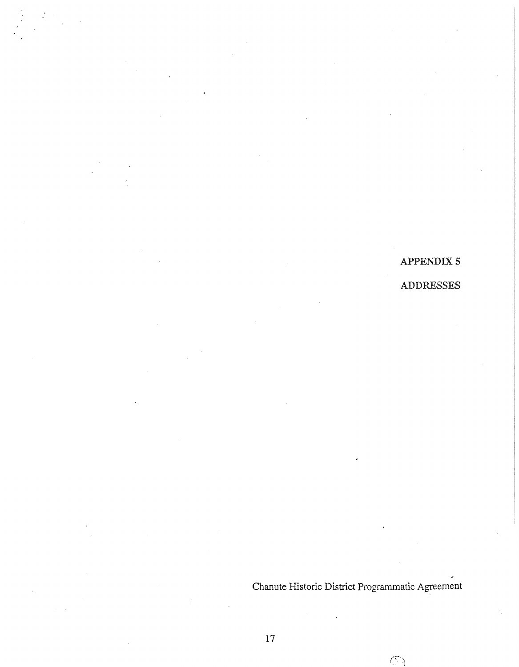APPENDIX 5 ADDRESSES

Chanute Historic District Programmatic Agreement

 $\mathcal{C}^{\mathbb{C}}$